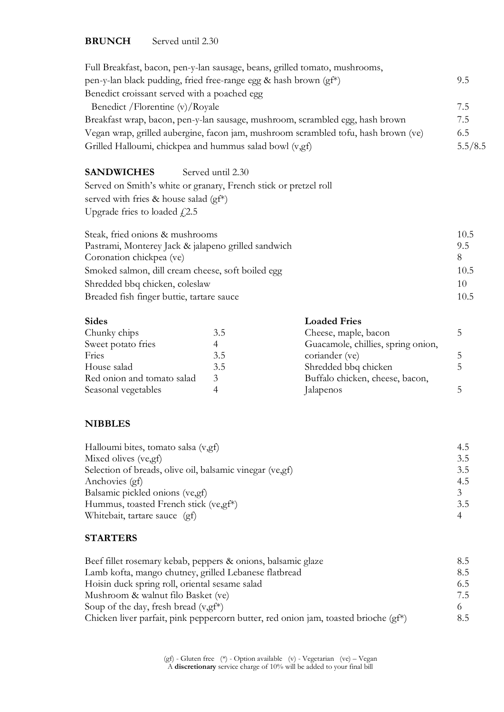#### **BRUNCH** Served until 2.30

|                                                                                                                                               |                   | Full Breakfast, bacon, pen-y-lan sausage, beans, grilled tomato, mushrooms,   |             |
|-----------------------------------------------------------------------------------------------------------------------------------------------|-------------------|-------------------------------------------------------------------------------|-------------|
| pen-y-lan black pudding, fried free-range egg & hash brown (gf*)                                                                              |                   |                                                                               | 9.5         |
| Benedict croissant served with a poached egg                                                                                                  |                   |                                                                               |             |
| Benedict / Florentine (v)/Royale                                                                                                              |                   |                                                                               | 7.5         |
|                                                                                                                                               |                   | Breakfast wrap, bacon, pen-y-lan sausage, mushroom, scrambled egg, hash brown | 7.5         |
| Vegan wrap, grilled aubergine, facon jam, mushroom scrambled tofu, hash brown (ve)<br>Grilled Halloumi, chickpea and hummus salad bowl (v,gf) |                   |                                                                               | 6.5         |
|                                                                                                                                               |                   |                                                                               | 5.5/8.5     |
| <b>SANDWICHES</b>                                                                                                                             | Served until 2.30 |                                                                               |             |
| Served on Smith's white or granary, French stick or pretzel roll                                                                              |                   |                                                                               |             |
| served with fries & house salad (gf*)                                                                                                         |                   |                                                                               |             |
| Upgrade fries to loaded $f$ , 2.5                                                                                                             |                   |                                                                               |             |
| Steak, fried onions & mushrooms                                                                                                               |                   |                                                                               | 10.5        |
| Pastrami, Monterey Jack & jalapeno grilled sandwich                                                                                           |                   |                                                                               | 9.5         |
| Coronation chickpea (ve)                                                                                                                      |                   |                                                                               | 8           |
| Smoked salmon, dill cream cheese, soft boiled egg                                                                                             |                   |                                                                               | 10.5        |
| Shredded bbq chicken, coleslaw                                                                                                                |                   |                                                                               | 10          |
| Breaded fish finger buttie, tartare sauce                                                                                                     |                   |                                                                               | 10.5        |
| <b>Sides</b>                                                                                                                                  |                   | <b>Loaded Fries</b>                                                           |             |
| Chunky chips                                                                                                                                  | 3.5               | Cheese, maple, bacon                                                          | 5           |
| Sweet potato fries                                                                                                                            | 4                 | Guacamole, chillies, spring onion,                                            |             |
| Fries                                                                                                                                         | 3.5               | coriander (ve)                                                                | $\mathsf S$ |
| House salad                                                                                                                                   | 3.5               | Shredded bbq chicken                                                          | 5           |
| Red onion and tomato salad                                                                                                                    | $\mathfrak{Z}$    | Buffalo chicken, cheese, bacon,                                               |             |
| Seasonal vegetables                                                                                                                           | $\overline{4}$    | Jalapenos                                                                     | 5           |

## **NIBBLES**

| Halloumi bites, tomato salsa (v,gf)                       | 4.5 |
|-----------------------------------------------------------|-----|
| Mixed olives (ve, gf)                                     | 3.5 |
| Selection of breads, olive oil, balsamic vinegar (ve, gf) | 3.5 |
| Anchovies (gf)                                            | 4.5 |
| Balsamic pickled onions (ve, gf)                          |     |
| Hummus, toasted French stick (ve,gf*)                     | 3.5 |
| Whitebait, tartare sauce (gf)                             | 4   |
|                                                           |     |

# **STARTERS**

| Beef fillet rosemary kebab, peppers & onions, balsamic glaze                           | 8.5 |
|----------------------------------------------------------------------------------------|-----|
| Lamb kofta, mango chutney, grilled Lebanese flatbread                                  | 8.5 |
| Hoisin duck spring roll, oriental sesame salad                                         | 6.5 |
| Mushroom & walnut filo Basket (ve)                                                     | 7.5 |
| Soup of the day, fresh bread $(v, gf^*)$                                               |     |
| Chicken liver parfait, pink peppercorn butter, red onion jam, toasted brioche $(gf^*)$ | 8.5 |

(gf) - Gluten free (\*) - Option available (v) - Vegetarian (ve) – Vegan A **discretionary** service charge of 10% will be added to your final bill